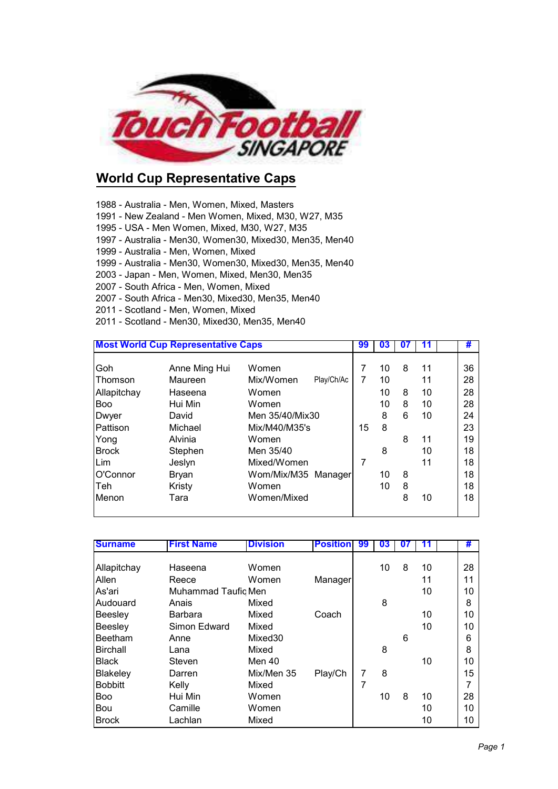

## **World Cup Representative Caps**

- 1988 Australia Men, Women, Mixed, Masters
- 1991 New Zealand Men Women, Mixed, M30, W27, M35
- 1995 USA Men Women, Mixed, M30, W27, M35
- 1997 Australia Men30, Women30, Mixed30, Men35, Men40
- 1999 Australia Men, Women, Mixed
- 1999 Australia Men30, Women30, Mixed30, Men35, Men40
- 2003 Japan Men, Women, Mixed, Men30, Men35
- 2007 South Africa Men, Women, Mixed
- 2007 South Africa Men30, Mixed30, Men35, Men40
- 2011 Scotland Men, Women, Mixed
- 2011 Scotland Men30, Mixed30, Men35, Men40

| <b>Most World Cup Representative Caps</b> |               |                         | 99 | 03 | 07 |    | #  |
|-------------------------------------------|---------------|-------------------------|----|----|----|----|----|
| Goh                                       | Anne Ming Hui | Women                   | 7  | 10 | 8  | 11 | 36 |
| <b>Thomson</b>                            | Maureen       | Play/Ch/Ac<br>Mix/Women | 7  | 10 |    | 11 | 28 |
| Allapitchay                               | Haseena       | Women                   |    | 10 | 8  | 10 | 28 |
| <b>Boo</b>                                | Hui Min       | Women                   |    | 10 | 8  | 10 | 28 |
| Dwyer                                     | David         | Men 35/40/Mix30         |    | 8  | 6  | 10 | 24 |
| Pattison                                  | Michael       | Mix/M40/M35's           | 15 | 8  |    |    | 23 |
| Yong                                      | Alvinia       | Women                   |    |    | 8  | 11 | 19 |
| <b>Brock</b>                              | Stephen       | Men 35/40               |    | 8  |    | 10 | 18 |
| Lim                                       | Jeslyn        | Mixed/Women             | 7  |    |    | 11 | 18 |
| O'Connor                                  | Bryan         | Wom/Mix/M35 Manager     |    | 10 | 8  |    | 18 |
| l Teh                                     | Kristy        | Women                   |    | 10 | 8  |    | 18 |
| Menon                                     | Tara          | Women/Mixed             |    |    | 8  | 10 | 18 |

| <b>Surname</b>  | <b>First Name</b>   | <b>Division</b>     | <b>Position</b> | 99 | 03 | 07 | 11 | #  |
|-----------------|---------------------|---------------------|-----------------|----|----|----|----|----|
|                 |                     |                     |                 |    |    |    |    |    |
| Allapitchay     | Haseena             | Women               |                 |    | 10 | 8  | 10 | 28 |
| Allen           | Reece               | Women               | <b>Manager</b>  |    |    |    | 11 | 11 |
| As'ari          | Muhammad Taufiq Men |                     |                 |    |    |    | 10 | 10 |
| Audouard        | Anais               | Mixed               |                 |    | 8  |    |    | 8  |
| <b>Beesley</b>  | Barbara             | Mixed               | Coach           |    |    |    | 10 | 10 |
| Beesley         | Simon Edward        | Mixed               |                 |    |    |    | 10 | 10 |
| Beetham         | Anne                | Mixed <sub>30</sub> |                 |    |    | 6  |    | 6  |
| Birchall        | Lana                | Mixed               |                 |    | 8  |    |    | 8  |
| <b>Black</b>    | Steven              | Men 40              |                 |    |    |    | 10 | 10 |
| <b>Blakeley</b> | Darren              | Mix/Men 35          | Play/Ch         | 7  | 8  |    |    | 15 |
| <b>Bobbitt</b>  | Kelly               | Mixed               |                 | 7  |    |    |    | 7  |
| <b>Boo</b>      | Hui Min             | Women               |                 |    | 10 | 8  | 10 | 28 |
| Bou             | Camille             | Women               |                 |    |    |    | 10 | 10 |
| <b>Brock</b>    | Lachlan             | Mixed               |                 |    |    |    | 10 | 10 |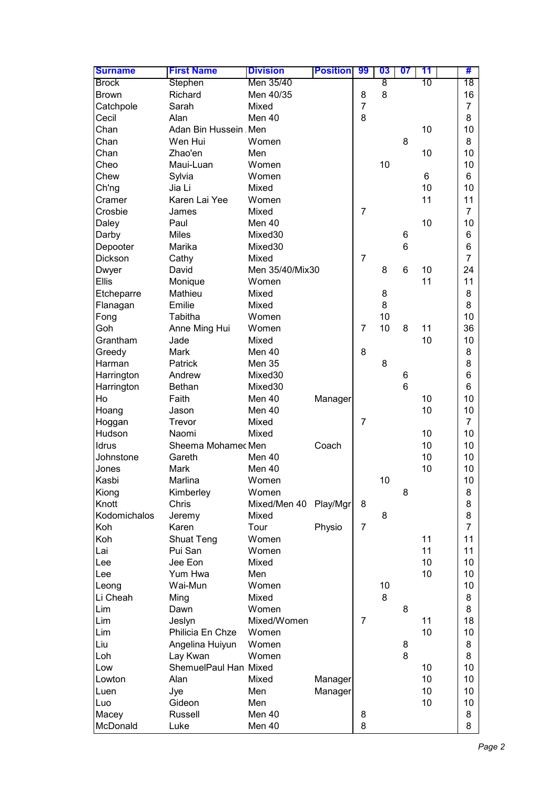| <b>Surname</b>                     | <b>First Name</b>     | <b>Division</b> | <b>Position</b> | 99             | 03 | 07 | 11 | #              |
|------------------------------------|-----------------------|-----------------|-----------------|----------------|----|----|----|----------------|
| <b>Brock</b>                       | Stephen               | Men 35/40       |                 |                | 8  |    | 10 | 18             |
| <b>Brown</b>                       | Richard               | Men 40/35       |                 | 8              | 8  |    |    | 16             |
| Catchpole                          | Sarah                 | Mixed           |                 | $\overline{7}$ |    |    |    | $\overline{7}$ |
| Cecil                              | Alan                  | Men 40          |                 | 8              |    |    |    | 8              |
| Chan                               | Adan Bin Hussein Men  |                 |                 |                |    |    | 10 | 10             |
| Chan                               | Wen Hui               | Women           |                 |                |    | 8  |    | 8              |
| Chan                               | Zhao'en               | Men             |                 |                |    |    | 10 | 10             |
| Cheo                               | Maui-Luan             | Women           |                 |                | 10 |    |    | 10             |
| Chew                               | Sylvia                | Women           |                 |                |    |    | 6  | 6              |
| Ch'ng                              | Jia Li                | Mixed           |                 |                |    |    | 10 | 10             |
| Cramer                             | Karen Lai Yee         | Women           |                 |                |    |    | 11 | 11             |
| Crosbie                            | James                 | Mixed           |                 | $\overline{7}$ |    |    |    | $\overline{7}$ |
| Daley                              | Paul                  | Men 40          |                 |                |    |    | 10 | 10             |
| Darby                              | <b>Miles</b>          | Mixed30         |                 |                |    | 6  |    | 6              |
| Depooter                           | Marika                | Mixed30         |                 |                |    | 6  |    | 6              |
| Dickson                            | Cathy                 | Mixed           |                 | $\overline{7}$ |    |    |    | $\overline{7}$ |
| Dwyer                              | David                 | Men 35/40/Mix30 |                 |                | 8  | 6  | 10 | 24             |
| <b>Ellis</b>                       | Monique               | Women           |                 |                |    |    | 11 | 11             |
| Etcheparre                         | Mathieu               | Mixed           |                 |                | 8  |    |    | 8              |
| Flanagan                           | Emilie                | Mixed           |                 |                | 8  |    |    | 8              |
| Fong                               | Tabitha               | Women           |                 |                | 10 |    |    | 10             |
| Goh                                | Anne Ming Hui         | Women           |                 | $\overline{7}$ | 10 | 8  | 11 | 36             |
| Grantham                           | Jade                  | Mixed           |                 |                |    |    | 10 | 10             |
| Greedy                             | Mark                  | Men 40          |                 | 8              |    |    |    | 8              |
| Harman                             | Patrick               | <b>Men 35</b>   |                 |                | 8  |    |    | 8              |
| Harrington                         | Andrew                | Mixed30         |                 |                |    | 6  |    | 6              |
| Harrington                         | <b>Bethan</b>         | Mixed30         |                 |                |    | 6  |    | 6              |
| Ho                                 | Faith                 | Men 40          | Manager         |                |    |    | 10 | 10             |
| Hoang                              | Jason                 | Men 40          |                 |                |    |    | 10 | 10             |
| Hoggan                             | Trevor                | Mixed           |                 | 7              |    |    |    | $\overline{7}$ |
| Hudson                             | Naomi                 | Mixed           |                 |                |    |    | 10 | 10             |
| Idrus                              | Sheema Mohamec Men    |                 | Coach           |                |    |    | 10 | 10             |
| Johnstone                          | Gareth                | Men 40          |                 |                |    |    | 10 | 10             |
| Jones                              | Mark                  | Men 40          |                 |                |    |    | 10 | 10             |
| Kasbi                              | Marlina               | Women           |                 |                | 10 |    |    | 10             |
| Kiong                              | Kimberley             | Women           |                 |                |    | 8  |    | 8              |
| Knott                              | Chris                 | Mixed/Men 40    | Play/Mgr        | 8              |    |    |    | 8              |
| Kodomichalos                       | Jeremy                | Mixed           |                 |                | 8  |    |    | 8              |
| Koh                                | Karen                 | Tour            | Physio          | $\overline{7}$ |    |    |    | $\overline{7}$ |
| Koh                                | Shuat Teng            | Women           |                 |                |    |    | 11 | 11             |
| Lai                                | Pui San               | Women           |                 |                |    |    | 11 | 11             |
| Lee                                | Jee Eon               | Mixed           |                 |                |    |    | 10 | 10             |
| Lee                                | Yum Hwa               | Men             |                 |                |    |    | 10 | 10             |
| Leong                              | Wai-Mun               | Women           |                 |                | 10 |    |    | 10             |
| Li Cheah                           | Ming                  | Mixed           |                 |                | 8  |    |    | 8              |
| $\ensuremath{\mathsf{Lim}}\xspace$ | Dawn                  | Women           |                 |                |    | 8  |    | 8              |
| $\ensuremath{\mathsf{Lim}}\xspace$ | Jeslyn                | Mixed/Women     |                 | $\overline{7}$ |    |    | 11 | 18             |
| $\ensuremath{\mathsf{Lim}}\xspace$ | Philicia En Chze      | Women           |                 |                |    |    | 10 | 10             |
| Liu                                | Angelina Huiyun       | Women           |                 |                |    | 8  |    | 8              |
| Loh                                | Lay Kwan              | Women           |                 |                |    | 8  |    | 8              |
| Low                                | ShemuelPaul Han Mixed |                 |                 |                |    |    | 10 | 10             |
| Lowton                             | Alan                  | Mixed           | Manager         |                |    |    | 10 | 10             |
| Luen                               | Jye                   | Men             | Manager         |                |    |    | 10 | 10             |
| Luo                                | Gideon                | Men             |                 |                |    |    | 10 | 10             |
| Macey                              | Russell               | Men 40          |                 | 8              |    |    |    | 8              |
| McDonald                           | Luke                  | Men 40          |                 | 8              |    |    |    | 8              |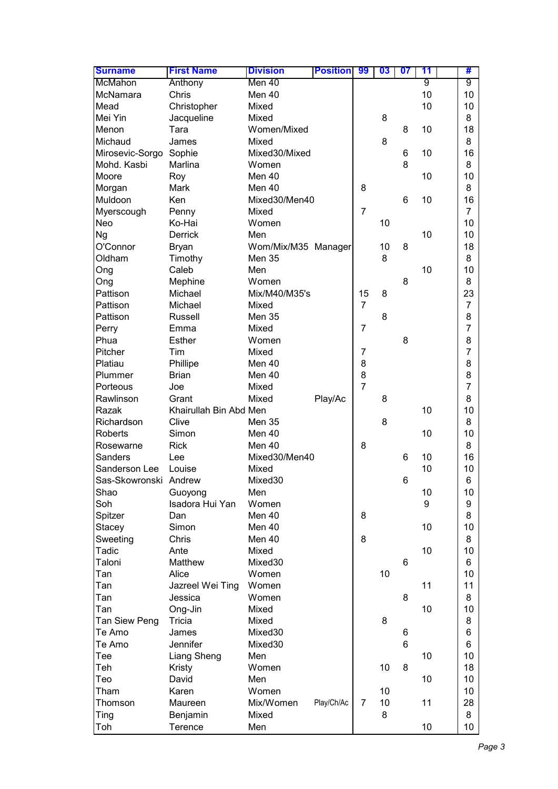| <b>Surname</b>        | <b>First Name</b>      | <b>Division</b>     | <b>Position</b> | 99             | 03 | 07 | 11 | #              |
|-----------------------|------------------------|---------------------|-----------------|----------------|----|----|----|----------------|
| McMahon               | Anthony                | Men 40              |                 |                |    |    | 9  | 9              |
| McNamara              | Chris                  | Men 40              |                 |                |    |    | 10 | 10             |
| Mead                  | Christopher            | Mixed               |                 |                |    |    | 10 | 10             |
| Mei Yin               | Jacqueline             | Mixed               |                 |                | 8  |    |    | 8              |
| Menon                 | Tara                   | Women/Mixed         |                 |                |    | 8  | 10 | 18             |
| Michaud               | James                  | Mixed               |                 |                | 8  |    |    | 8              |
| Mirosevic-Sorgo       | Sophie                 | Mixed30/Mixed       |                 |                |    | 6  | 10 | 16             |
| Mohd. Kasbi           | Marlina                | Women               |                 |                |    | 8  |    | 8              |
| Moore                 | Roy                    | Men 40              |                 |                |    |    | 10 | 10             |
| Morgan                | Mark                   | Men 40              |                 | 8              |    |    |    | 8              |
| Muldoon               | Ken                    | Mixed30/Men40       |                 |                |    | 6  | 10 | 16             |
| Myerscough            | Penny                  | Mixed               |                 | $\overline{7}$ |    |    |    | $\overline{7}$ |
| <b>Neo</b>            | Ko-Hai                 | Women               |                 |                | 10 |    |    | 10             |
| <b>Ng</b>             | Derrick                | Men                 |                 |                |    |    | 10 | 10             |
| O'Connor              | <b>Bryan</b>           | Wom/Mix/M35 Manager |                 |                | 10 | 8  |    | 18             |
| Oldham                | Timothy                | Men 35              |                 |                | 8  |    |    | 8              |
| Ong                   | Caleb                  | Men                 |                 |                |    |    | 10 | 10             |
| Ong                   | Mephine                | Women               |                 |                |    | 8  |    | 8              |
| Pattison              | Michael                | Mix/M40/M35's       |                 | 15             | 8  |    |    | 23             |
| Pattison              | Michael                | Mixed               |                 | $\overline{7}$ |    |    |    | $\overline{7}$ |
| Pattison              | <b>Russell</b>         | Men 35              |                 |                | 8  |    |    | 8              |
| Perry                 | Emma                   | Mixed               |                 | $\overline{7}$ |    |    |    | 7              |
| Phua                  | Esther                 | Women               |                 |                |    | 8  |    | 8              |
| Pitcher               | Tim                    | Mixed               |                 | $\overline{7}$ |    |    |    | $\overline{7}$ |
| Platiau               | Phillipe               | Men 40              |                 | 8              |    |    |    | 8              |
| Plummer               | <b>Brian</b>           | Men 40              |                 | 8              |    |    |    | 8              |
| Porteous              | Joe                    | Mixed               |                 | $\overline{7}$ |    |    |    | $\overline{7}$ |
| Rawlinson             | Grant                  | Mixed               | Play/Ac         |                | 8  |    |    | 8              |
| Razak                 | Khairullah Bin Abd Men |                     |                 |                |    |    | 10 | 10             |
| Richardson            | Clive                  | Men 35              |                 |                | 8  |    |    | 8              |
| Roberts               | Simon                  | Men 40              |                 |                |    |    | 10 | 10             |
| Rosewarne             | <b>Rick</b>            | Men 40              |                 | 8              |    |    |    | 8              |
| Sanders               | Lee                    | Mixed30/Men40       |                 |                |    | 6  | 10 | 16             |
| Sanderson Lee         | Louise                 | Mixed               |                 |                |    |    | 10 | 10             |
| Sas-Skowronski Andrew |                        | Mixed30             |                 |                |    | 6  |    | 6              |
| Shao                  | Guoyong                | Men                 |                 |                |    |    | 10 | 10             |
| Soh                   | Isadora Hui Yan        | Women               |                 |                |    |    | 9  | 9              |
| Spitzer               | Dan                    | Men 40              |                 | 8              |    |    |    | 8              |
| <b>Stacey</b>         | Simon                  | Men 40              |                 |                |    |    | 10 | 10             |
| Sweeting              | Chris                  | Men 40              |                 | 8              |    |    |    | 8              |
| Tadic                 | Ante                   | Mixed               |                 |                |    |    | 10 | 10             |
| Taloni                | Matthew                | Mixed30             |                 |                |    | 6  |    | 6              |
| Tan                   | Alice                  | Women               |                 |                | 10 |    |    | 10             |
| Tan                   | Jazreel Wei Ting       | Women               |                 |                |    |    | 11 | 11             |
| Tan                   | Jessica                | Women               |                 |                |    | 8  |    | 8              |
| Tan                   | Ong-Jin                | Mixed               |                 |                |    |    | 10 | 10             |
| Tan Siew Peng         | Tricia                 | Mixed               |                 |                | 8  |    |    | 8              |
| Te Amo                | James                  | Mixed30             |                 |                |    | 6  |    | 6              |
| Te Amo                | Jennifer               | Mixed30             |                 |                |    | 6  |    | 6              |
| Tee                   | Liang Sheng            | Men                 |                 |                |    |    | 10 | 10             |
| Teh                   | Kristy                 | Women               |                 |                | 10 | 8  |    | 18             |
| Teo                   | David                  | Men                 |                 |                |    |    | 10 | 10             |
| Tham                  | Karen                  | Women               |                 |                | 10 |    |    | 10             |
| Thomson               | Maureen                | Mix/Women           | Play/Ch/Ac      | $\overline{7}$ | 10 |    | 11 | 28             |
| Ting                  | Benjamin               | Mixed               |                 |                | 8  |    |    | 8              |
| Toh                   | Terence                | Men                 |                 |                |    |    | 10 | 10             |